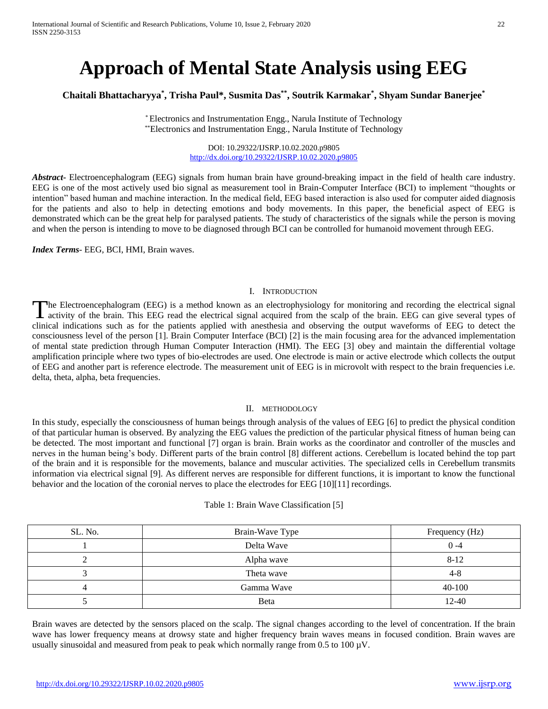# **Approach of Mental State Analysis using EEG**

# **Chaitali Bhattacharyya\* , Trisha Paul\*, Susmita Das\*\* , Soutrik Karmakar\* , Shyam Sundar Banerjee\***

\* Electronics and Instrumentation Engg., Narula Institute of Technology \*\*Electronics and Instrumentation Engg., Narula Institute of Technology

> DOI: 10.29322/IJSRP.10.02.2020.p9805 <http://dx.doi.org/10.29322/IJSRP.10.02.2020.p9805>

*Abstract***-** Electroencephalogram (EEG) signals from human brain have ground-breaking impact in the field of health care industry. EEG is one of the most actively used bio signal as measurement tool in Brain-Computer Interface (BCI) to implement "thoughts or intention" based human and machine interaction. In the medical field, EEG based interaction is also used for computer aided diagnosis for the patients and also to help in detecting emotions and body movements. In this paper, the beneficial aspect of EEG is demonstrated which can be the great help for paralysed patients. The study of characteristics of the signals while the person is moving and when the person is intending to move to be diagnosed through BCI can be controlled for humanoid movement through EEG.

*Index Terms*- EEG, BCI, HMI, Brain waves.

## I. INTRODUCTION

he Electroencephalogram (EEG) is a method known as an electrophysiology for monitoring and recording the electrical signal The Electroencephalogram (EEG) is a method known as an electrophysiology for monitoring and recording the electrical signal activity of the brain. This EEG read the electrical signal acquired from the scalp of the brain. E clinical indications such as for the patients applied with anesthesia and observing the output waveforms of EEG to detect the consciousness level of the person [1]. Brain Computer Interface (BCI) [2] is the main focusing area for the advanced implementation of mental state prediction through Human Computer Interaction (HMI). The EEG [3] obey and maintain the differential voltage amplification principle where two types of bio-electrodes are used. One electrode is main or active electrode which collects the output of EEG and another part is reference electrode. The measurement unit of EEG is in microvolt with respect to the brain frequencies i.e. delta, theta, alpha, beta frequencies.

## II. METHODOLOGY

In this study, especially the consciousness of human beings through analysis of the values of EEG [6] to predict the physical condition of that particular human is observed. By analyzing the EEG values the prediction of the particular physical fitness of human being can be detected. The most important and functional [7] organ is brain. Brain works as the coordinator and controller of the muscles and nerves in the human being's body. Different parts of the brain control [8] different actions. Cerebellum is located behind the top part of the brain and it is responsible for the movements, balance and muscular activities. The specialized cells in Cerebellum transmits information via electrical signal [9]. As different nerves are responsible for different functions, it is important to know the functional behavior and the location of the coronial nerves to place the electrodes for EEG [10][11] recordings.

| SL. No. | Brain-Wave Type | Frequency (Hz) |
|---------|-----------------|----------------|
|         | Delta Wave      | $0 - 4$        |
| ∠       | Alpha wave      | $8 - 12$       |
|         | Theta wave      | 4-8            |
|         | Gamma Wave      | 40-100         |
|         | <b>B</b> eta    | $12 - 40$      |

Brain waves are detected by the sensors placed on the scalp. The signal changes according to the level of concentration. If the brain wave has lower frequency means at drowsy state and higher frequency brain waves means in focused condition. Brain waves are usually sinusoidal and measured from peak to peak which normally range from  $0.5$  to  $100 \mu V$ .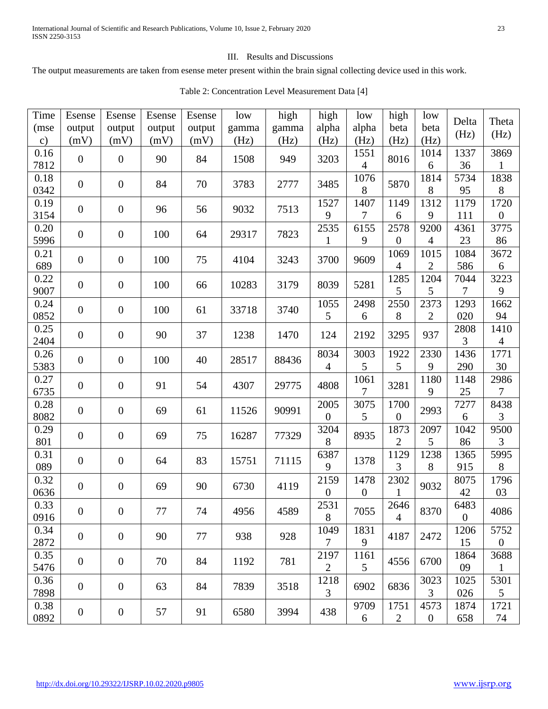## III. Results and Discussions

The output measurements are taken from esense meter present within the brain signal collecting device used in this work.

| Time                  | Esense                   | Esense           | Esense         | Esense         | low           | high          | high                   | low              | high             | low                    | Delta            | Theta                    |
|-----------------------|--------------------------|------------------|----------------|----------------|---------------|---------------|------------------------|------------------|------------------|------------------------|------------------|--------------------------|
| (mse<br>$\mathbf{c})$ | output<br>(mV)           | output<br>(mV)   | output<br>(mV) | output<br>(mV) | gamma<br>(Hz) | gamma<br>(Hz) | alpha<br>(Hz)          | alpha<br>(Hz)    | beta<br>(Hz)     | beta<br>(Hz)           | (Hz)             | (Hz)                     |
| 0.16                  | $\boldsymbol{0}$         | $\boldsymbol{0}$ | 90             | 84             | 1508          | 949           | 3203                   | 1551             | 8016             | 1014                   | 1337             | 3869                     |
| 7812                  |                          |                  |                |                |               |               |                        | $\overline{4}$   |                  | 6                      | 36               |                          |
| 0.18<br>0342          | $\overline{0}$           | $\boldsymbol{0}$ | 84             | 70             | 3783          | 2777          | 3485                   | 1076<br>8        | 5870             | 1814<br>8              | 5734<br>95       | 1838<br>8                |
| 0.19                  |                          |                  |                |                |               |               | 1527                   | 1407             | 1149             | 1312                   | 1179             | 1720                     |
| 3154                  | $\overline{0}$           | $\boldsymbol{0}$ | 96             | 56             | 9032          | 7513          | 9                      | 7                | 6                | 9                      | 111              | $\boldsymbol{0}$         |
| 0.20                  | $\boldsymbol{0}$         | $\boldsymbol{0}$ | 100            | 64             | 29317         | 7823          | 2535                   | 6155             | 2578             | 9200                   | 4361             | 3775                     |
| 5996                  |                          |                  |                |                |               |               | 1                      | 9                | 0                | 4                      | 23               | 86                       |
| 0.21                  | $\overline{0}$           | $\boldsymbol{0}$ | 100            | 75             | 4104          | 3243          | 3700                   | 9609             | 1069<br>4        | 1015<br>$\overline{2}$ | 1084<br>586      | 3672                     |
| 689<br>0.22           |                          |                  |                |                |               |               |                        |                  | 1285             | 1204                   | 7044             | 6<br>3223                |
| 9007                  | $\boldsymbol{0}$         | $\boldsymbol{0}$ | 100            | 66             | 10283         | 3179          | 8039                   | 5281             | 5                | 5                      | 7                | 9                        |
| 0.24                  |                          |                  |                |                |               |               | 1055                   | 2498             | 2550             | 2373                   | 1293             | 1662                     |
| 0852                  | $\boldsymbol{0}$         | $\boldsymbol{0}$ | 100            | 61             | 33718         | 3740          | 5                      | 6                | 8                | $\overline{2}$         | 020              | 94                       |
| 0.25                  | $\overline{0}$           | $\boldsymbol{0}$ | 90             | 37             | 1238          | 1470          | 124                    | 2192             | 3295             | 937                    | 2808             | 1410                     |
| 2404                  |                          |                  |                |                |               |               |                        |                  |                  |                        | 3                | $\overline{4}$           |
| 0.26<br>5383          | $\boldsymbol{0}$         | $\boldsymbol{0}$ | 100            | 40             | 28517         | 88436         | 8034<br>$\overline{4}$ | 3003<br>5        | 1922<br>5        | 2330<br>9              | 1436<br>290      | 1771<br>30               |
| 0.27                  |                          |                  |                |                |               |               |                        | 1061             |                  | 1180                   | 1148             | 2986                     |
| 6735                  | $\boldsymbol{0}$         | $\boldsymbol{0}$ | 91             | 54             | 4307          | 29775         | 4808                   | $\overline{7}$   | 3281             | 9                      | 25               | 7                        |
| 0.28                  | $\overline{0}$           | $\boldsymbol{0}$ | 69             | 61             | 11526         | 90991         | 2005                   | 3075             | 1700             | 2993                   | 7277             | 8438                     |
| 8082                  |                          |                  |                |                |               |               | $\boldsymbol{0}$       | 5                | $\boldsymbol{0}$ |                        | 6                | 3                        |
| 0.29                  | $\boldsymbol{0}$         | $\boldsymbol{0}$ | 69             | 75             | 16287         | 77329         | 3204                   | 8935             | 1873             | 2097                   | 1042             | 9500                     |
| 801<br>0.31           |                          |                  |                |                |               |               | 8<br>6387              |                  | 2<br>1129        | 5<br>1238              | 86<br>1365       | 3<br>5995                |
| 089                   | $\overline{0}$           | $\boldsymbol{0}$ | 64             | 83             | 15751         | 71115         | 9                      | 1378             | 3                | 8                      | 915              | 8                        |
| 0.32                  |                          |                  |                |                |               |               | 2159                   | 1478             | 2302             |                        | 8075             | 1796                     |
| 0636                  | $\boldsymbol{0}$         | $\boldsymbol{0}$ | 69             | 90             | 6730          | 4119          | $\boldsymbol{0}$       | $\boldsymbol{0}$ | $\mathbf{1}$     | 9032                   | 42               | 03                       |
| 0.33                  | $\overline{0}$           | $\boldsymbol{0}$ | 77             | 74             | 4956          | 4589          | 2531                   | 7055             | 2646             | 8370                   | 6483             | 4086                     |
| 0916                  |                          |                  |                |                |               |               | 8                      |                  | $\overline{4}$   |                        | $\boldsymbol{0}$ |                          |
| 0.34<br>2872          | $\overline{0}$           | $\boldsymbol{0}$ | 90             | 77             | 938           | 928           | 1049<br>7              | 1831<br>9        | 4187             | 2472                   | 1206<br>15       | 5752<br>$\boldsymbol{0}$ |
| 0.35                  |                          |                  |                |                |               |               | 2197                   | 1161             |                  |                        | 1864             | 3688                     |
| 5476                  | $\overline{0}$           | $\boldsymbol{0}$ | 70             | 84             | 1192          | 781           | $\overline{2}$         | 5                | 4556             | 6700                   | 09               | 1                        |
| 0.36                  | $\boldsymbol{0}$<br>7898 | $\boldsymbol{0}$ | 63<br>84       |                | 7839          | 3518          | 1218<br>$\overline{3}$ | 6902             | 6836             | 3023                   | 1025             | 5301                     |
|                       |                          |                  |                |                |               |               |                        |                  |                  | $\overline{3}$         | 026              | $5\overline{)}$          |
| 0.38                  | $\boldsymbol{0}$         | $\boldsymbol{0}$ | 57             | 91             | 6580          | 3994          | 438                    | 9709             | 1751             | 4573                   | 1874             | 1721                     |
| 0892                  |                          |                  |                |                |               |               |                        | 6                | $\overline{2}$   | $\mathbf{0}$           | 658              | 74                       |

# Table 2: Concentration Level Measurement Data [4]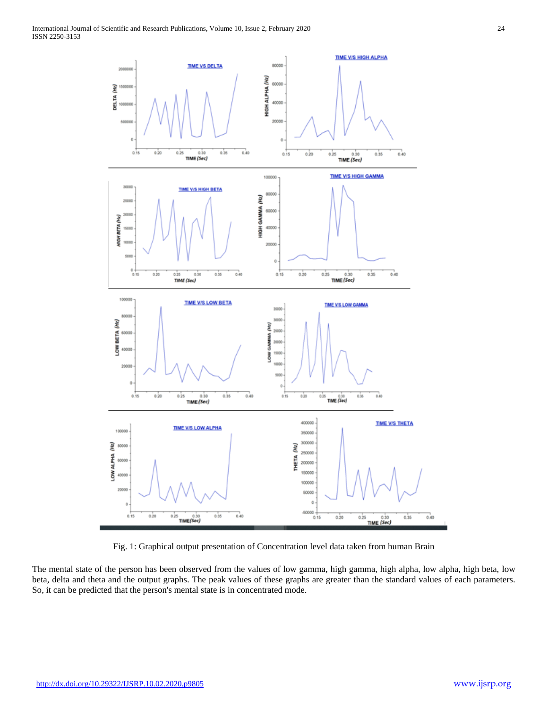

Fig. 1: Graphical output presentation of Concentration level data taken from human Brain

The mental state of the person has been observed from the values of low gamma, high gamma, high alpha, low alpha, high beta, low beta, delta and theta and the output graphs. The peak values of these graphs are greater than the standard values of each parameters. So, it can be predicted that the person's mental state is in concentrated mode.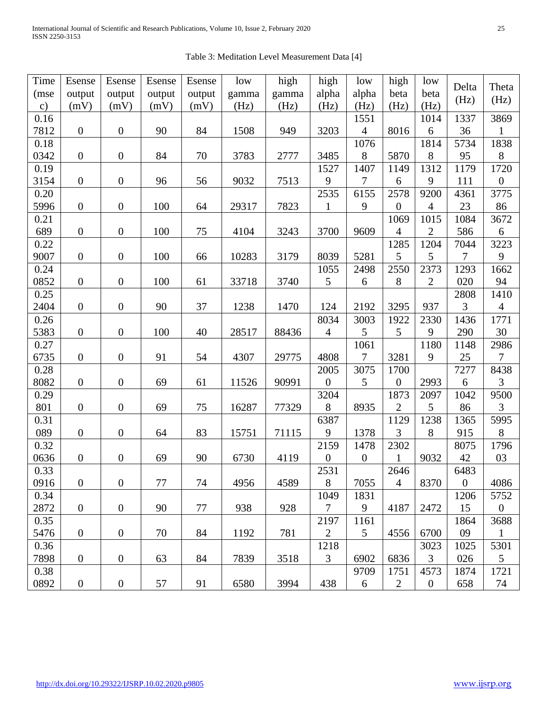| Time          | Esense           | Esense           | Esense | Esense | low   | high  | high             | low              | high             | low            |                |                  |
|---------------|------------------|------------------|--------|--------|-------|-------|------------------|------------------|------------------|----------------|----------------|------------------|
| (mse          | output           | output           | output | output | gamma | gamma | alpha            | alpha            | beta             | beta           | Delta          | Theta            |
| $\mathbf{c})$ | (mV)             | (mV)             | (mV)   | (mV)   | (Hz)  | (Hz)  | (Hz)             | (Hz)             | (Hz)             | (Hz)           | (Hz)           | (Hz)             |
| 0.16          |                  |                  |        |        |       |       |                  | 1551             |                  | 1014           | 1337           | 3869             |
| 7812          | $\boldsymbol{0}$ | $\boldsymbol{0}$ | 90     | 84     | 1508  | 949   | 3203             | $\overline{4}$   | 8016             | 6              | 36             |                  |
| 0.18          |                  |                  |        |        |       |       |                  | 1076             |                  | 1814           | 5734           | 1838             |
| 0342          | $\boldsymbol{0}$ | $\boldsymbol{0}$ | 84     | 70     | 3783  | 2777  | 3485             | $8\,$            | 5870             | 8              | 95             | $8\,$            |
| 0.19          |                  |                  |        |        |       |       | 1527             | 1407             | 1149             | 1312           | 1179           | 1720             |
| 3154          | $\boldsymbol{0}$ | $\boldsymbol{0}$ | 96     | 56     | 9032  | 7513  | 9                | 7                | 6                | 9              | 111            | $\boldsymbol{0}$ |
| 0.20          |                  |                  |        |        |       |       | 2535             | 6155             | 2578             | 9200           | 4361           | 3775             |
| 5996          | $\boldsymbol{0}$ | $\boldsymbol{0}$ | 100    | 64     | 29317 | 7823  | $\mathbf{1}$     | 9                | $\boldsymbol{0}$ | 4              | 23             | 86               |
| 0.21          |                  |                  |        |        |       |       |                  |                  | 1069             | 1015           | 1084           | 3672             |
| 689           | $\boldsymbol{0}$ | $\boldsymbol{0}$ | 100    | 75     | 4104  | 3243  | 3700             | 9609             | $\overline{4}$   | $\overline{2}$ | 586            | 6                |
| 0.22          |                  |                  |        |        |       |       |                  |                  | 1285             | 1204           | 7044           | 3223             |
| 9007          | $\boldsymbol{0}$ | $\boldsymbol{0}$ | 100    | 66     | 10283 | 3179  | 8039             | 5281             | 5                | 5              | $\overline{7}$ | 9                |
| 0.24          |                  |                  |        |        |       |       | 1055             | 2498             | 2550             | 2373           | 1293           | 1662             |
| 0852          | $\boldsymbol{0}$ | $\boldsymbol{0}$ | 100    | 61     | 33718 | 3740  | 5                | 6                | $8\,$            | $\overline{2}$ | 020            | 94               |
| 0.25          |                  |                  |        |        |       |       |                  |                  |                  |                | 2808           | 1410             |
| 2404          | $\boldsymbol{0}$ | $\boldsymbol{0}$ | 90     | 37     | 1238  | 1470  | 124              | 2192             | 3295             | 937            | 3              | $\overline{4}$   |
| 0.26          |                  |                  |        |        |       |       | 8034             | 3003             | 1922             | 2330           | 1436           | 1771             |
| 5383          | $\boldsymbol{0}$ | $\boldsymbol{0}$ | 100    | 40     | 28517 | 88436 | $\overline{4}$   | 5                | 5                | 9              | 290            | 30               |
| 0.27          |                  |                  |        |        |       |       |                  | 1061             |                  | 1180           | 1148           | 2986             |
| 6735          | $\boldsymbol{0}$ | $\boldsymbol{0}$ | 91     | 54     | 4307  | 29775 | 4808             | 7                | 3281             | 9              | 25             | $\overline{7}$   |
| 0.28          |                  |                  |        |        |       |       | 2005             | 3075             | 1700             |                | 7277           | 8438             |
| 8082          | $\boldsymbol{0}$ | $\boldsymbol{0}$ | 69     | 61     | 11526 | 90991 | $\boldsymbol{0}$ | 5                | $\boldsymbol{0}$ | 2993           | 6              | 3                |
| 0.29          |                  |                  |        |        |       |       | 3204             |                  | 1873             | 2097           | 1042           | 9500             |
| 801           | $\boldsymbol{0}$ | $\boldsymbol{0}$ | 69     | 75     | 16287 | 77329 | 8                | 8935             | $\overline{2}$   | 5              | 86             | 3                |
| 0.31          |                  |                  |        |        |       |       | 6387             |                  | 1129             | 1238           | 1365           | 5995             |
| 089           | $\boldsymbol{0}$ | $\boldsymbol{0}$ | 64     | 83     | 15751 | 71115 | 9                | 1378             | 3                | 8              | 915            | $8\,$            |
| 0.32          |                  |                  |        |        |       |       | 2159             | 1478             | 2302             |                | 8075           | 1796             |
| 0636          | $\boldsymbol{0}$ | $\boldsymbol{0}$ | 69     | 90     | 6730  | 4119  | $\boldsymbol{0}$ | $\boldsymbol{0}$ | $\mathbf{1}$     | 9032           | 42             | 03               |
| 0.33          |                  |                  |        |        |       |       | 2531             |                  | 2646             |                | 6483           |                  |
| 0916          | $\overline{0}$   | $\boldsymbol{0}$ | 77     | 74     | 4956  | 4589  | 8                | 7055             | $\overline{4}$   | 8370           | $\overline{0}$ | 4086             |
| 0.34          |                  |                  |        |        |       |       | 1049             | 1831             |                  |                | 1206           | 5752             |
| 2872          | $\boldsymbol{0}$ | $\boldsymbol{0}$ | 90     | 77     | 938   | 928   | $\overline{7}$   | 9                | 4187             | 2472           | 15             | $\overline{0}$   |
| 0.35          |                  |                  |        |        |       |       | 2197             | 1161             |                  |                | 1864           | 3688             |
| 5476          | $\overline{0}$   | $\boldsymbol{0}$ | 70     | 84     | 1192  | 781   | 2                | $\mathfrak{S}$   | 4556             | 6700           | 09             | $\mathbf{1}$     |
| 0.36          |                  |                  |        |        |       |       | 1218             |                  |                  | 3023           | 1025           | 5301             |
| 7898          | $\overline{0}$   | $\boldsymbol{0}$ | 63     | 84     | 7839  | 3518  | 3                | 6902             | 6836             | $\overline{3}$ | 026            | $\mathfrak{S}$   |
| 0.38          |                  |                  |        |        |       |       |                  | 9709             | 1751             | 4573           | 1874           | 1721             |
| 0892          | $\boldsymbol{0}$ | $\boldsymbol{0}$ | 57     | 91     | 6580  | 3994  | 438              | 6                | $\overline{2}$   | $\overline{0}$ | 658            | 74               |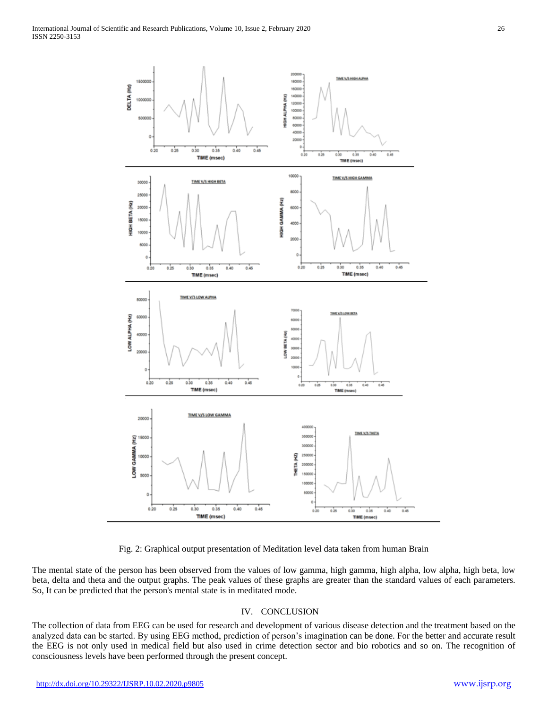

Fig. 2: Graphical output presentation of Meditation level data taken from human Brain

The mental state of the person has been observed from the values of low gamma, high gamma, high alpha, low alpha, high beta, low beta, delta and theta and the output graphs. The peak values of these graphs are greater than the standard values of each parameters. So, It can be predicted that the person's mental state is in meditated mode.

## IV. CONCLUSION

The collection of data from EEG can be used for research and development of various disease detection and the treatment based on the analyzed data can be started. By using EEG method, prediction of person's imagination can be done. For the better and accurate result the EEG is not only used in medical field but also used in crime detection sector and bio robotics and so on. The recognition of consciousness levels have been performed through the present concept.